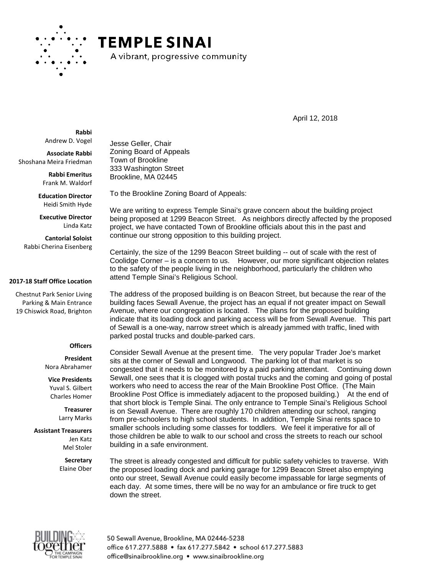

## **TEMPLE SINAI**

A vibrant, progressive community

April 12, 2018

**Rabbi** Andrew D. Vogel

**Associate Rabbi** Shoshana Meira Friedman

> **Rabbi Emeritus** Frank M. Waldorf

**Education Director** Heidi Smith Hyde

**Executive Director** Linda Katz

**Cantorial Soloist** Rabbi Cherina Eisenberg

## **2017-18 Staff Office Location**

Chestnut Park Senior Living Parking & Main Entrance 19 Chiswick Road, Brighton

## **Officers**

**President** Nora Abrahamer

**Vice Presidents** Yuval S. Gilbert Charles Homer

> **Treasurer** Larry Marks

**Assistant Treasurers** Jen Katz Mel Stoler

> **Secretary** Elaine Ober

Jesse Geller, Chair Zoning Board of Appeals Town of Brookline 333 Washington Street Brookline, MA 02445

To the Brookline Zoning Board of Appeals:

We are writing to express Temple Sinai's grave concern about the building project being proposed at 1299 Beacon Street. As neighbors directly affected by the proposed project, we have contacted Town of Brookline officials about this in the past and continue our strong opposition to this building project.

Certainly, the size of the 1299 Beacon Street building -- out of scale with the rest of Coolidge Corner – is a concern to us. However, our more significant objection relates to the safety of the people living in the neighborhood, particularly the children who attend Temple Sinai's Religious School.

The address of the proposed building is on Beacon Street, but because the rear of the building faces Sewall Avenue, the project has an equal if not greater impact on Sewall Avenue, where our congregation is located. The plans for the proposed building indicate that its loading dock and parking access will be from Sewall Avenue. This part of Sewall is a one-way, narrow street which is already jammed with traffic, lined with parked postal trucks and double-parked cars.

Consider Sewall Avenue at the present time. The very popular Trader Joe's market sits at the corner of Sewall and Longwood. The parking lot of that market is so congested that it needs to be monitored by a paid parking attendant. Continuing down Sewall, one sees that it is clogged with postal trucks and the coming and going of postal workers who need to access the rear of the Main Brookline Post Office. (The Main Brookline Post Office is immediately adjacent to the proposed building.) At the end of that short block is Temple Sinai. The only entrance to Temple Sinai's Religious School is on Sewall Avenue. There are roughly 170 children attending our school, ranging from pre-schoolers to high school students. In addition, Temple Sinai rents space to smaller schools including some classes for toddlers. We feel it imperative for all of those children be able to walk to our school and cross the streets to reach our school building in a safe environment.

The street is already congested and difficult for public safety vehicles to traverse. With the proposed loading dock and parking garage for 1299 Beacon Street also emptying onto our street, Sewall Avenue could easily become impassable for large segments of each day. At some times, there will be no way for an ambulance or fire truck to get down the street.